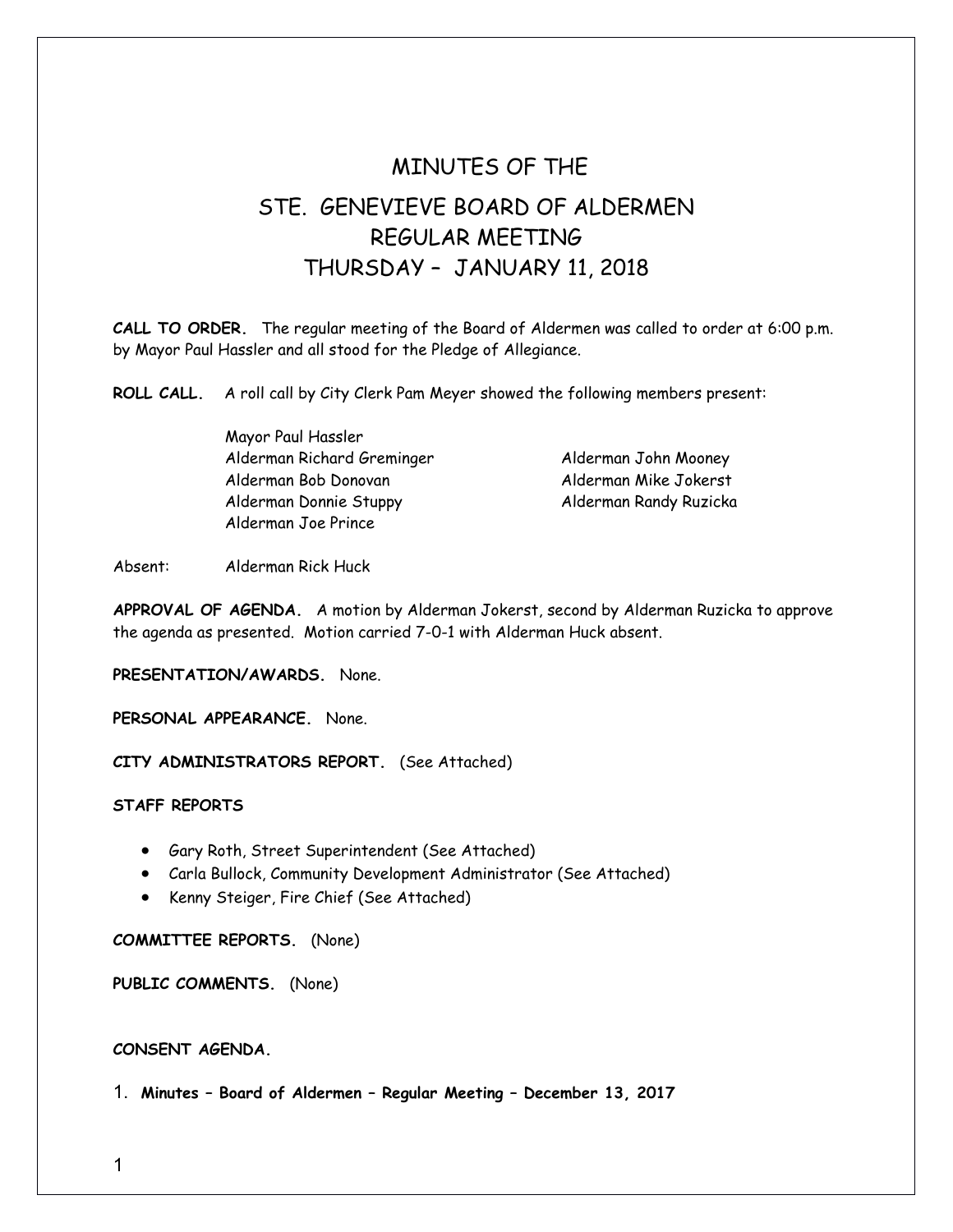## MINUTES OF THE STE. GENEVIEVE BOARD OF ALDERMEN REGULAR MEETING THURSDAY – JANUARY 11, 2018

**CALL TO ORDER.** The regular meeting of the Board of Aldermen was called to order at 6:00 p.m. by Mayor Paul Hassler and all stood for the Pledge of Allegiance.

**ROLL CALL.** A roll call by City Clerk Pam Meyer showed the following members present:

| Mayor Paul Hassler         |                        |
|----------------------------|------------------------|
| Alderman Richard Greminger | Alderman John Mooney   |
| Alderman Bob Donovan       | Alderman Mike Jokerst  |
| Alderman Donnie Stuppy     | Alderman Randy Ruzicka |
| Alderman Joe Prince        |                        |

Absent: Alderman Rick Huck

**APPROVAL OF AGENDA.** A motion by Alderman Jokerst, second by Alderman Ruzicka to approve the agenda as presented. Motion carried 7-0-1 with Alderman Huck absent.

**PRESENTATION/AWARDS.** None.

**PERSONAL APPEARANCE.** None.

**CITY ADMINISTRATORS REPORT.** (See Attached)

**STAFF REPORTS**

- Gary Roth, Street Superintendent (See Attached)
- Carla Bullock, Community Development Administrator (See Attached)
- Kenny Steiger, Fire Chief (See Attached)

**COMMITTEE REPORTS.** (None)

**PUBLIC COMMENTS.** (None)

**CONSENT AGENDA.** 

1. **Minutes – Board of Aldermen – Regular Meeting – December 13, 2017**

1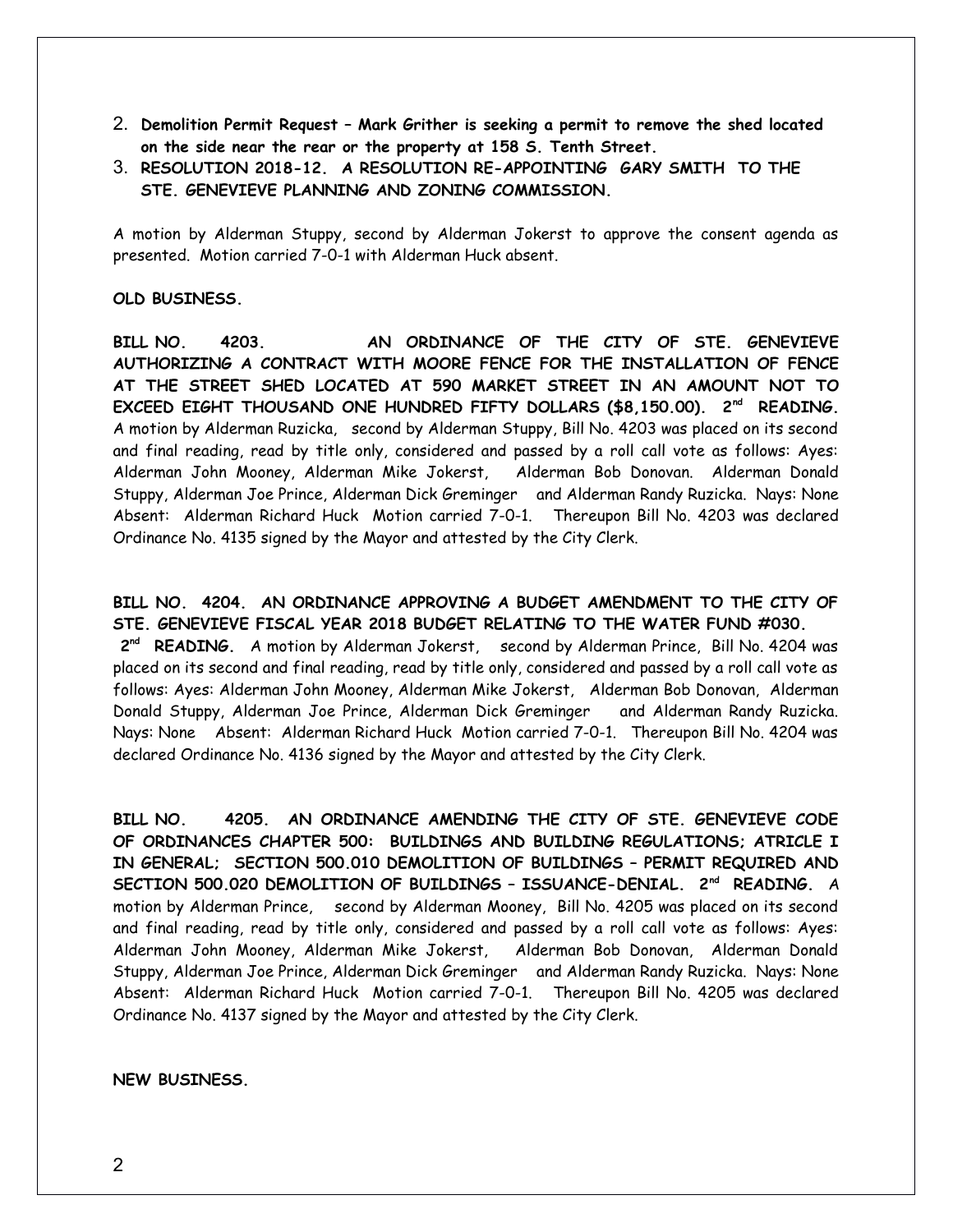- 2. **Demolition Permit Request Mark Grither is seeking a permit to remove the shed located on the side near the rear or the property at 158 S. Tenth Street.**
- 3. **RESOLUTION 2018-12. A RESOLUTION RE-APPOINTING GARY SMITH TO THE STE. GENEVIEVE PLANNING AND ZONING COMMISSION.**

A motion by Alderman Stuppy, second by Alderman Jokerst to approve the consent agenda as presented. Motion carried 7-0-1 with Alderman Huck absent.

## **OLD BUSINESS.**

**BILL NO. 4203. AN ORDINANCE OF THE CITY OF STE. GENEVIEVE AUTHORIZING A CONTRACT WITH MOORE FENCE FOR THE INSTALLATION OF FENCE AT THE STREET SHED LOCATED AT 590 MARKET STREET IN AN AMOUNT NOT TO EXCEED EIGHT THOUSAND ONE HUNDRED FIFTY DOLLARS (\$8,150.00). 2nd READING.** A motion by Alderman Ruzicka, second by Alderman Stuppy, Bill No. 4203 was placed on its second and final reading, read by title only, considered and passed by a roll call vote as follows: Ayes: Alderman John Mooney, Alderman Mike Jokerst, Alderman Bob Donovan. Alderman Donald Stuppy, Alderman Joe Prince, Alderman Dick Greminger and Alderman Randy Ruzicka. Nays: None Absent: Alderman Richard Huck Motion carried 7-0-1. Thereupon Bill No. 4203 was declared Ordinance No. 4135 signed by the Mayor and attested by the City Clerk.

**BILL NO. 4204. AN ORDINANCE APPROVING A BUDGET AMENDMENT TO THE CITY OF STE. GENEVIEVE FISCAL YEAR 2018 BUDGET RELATING TO THE WATER FUND #030. 2nd READING.** A motion by Alderman Jokerst, second by Alderman Prince, Bill No. 4204 was placed on its second and final reading, read by title only, considered and passed by a roll call vote as follows: Ayes: Alderman John Mooney, Alderman Mike Jokerst, Alderman Bob Donovan, Alderman Donald Stuppy, Alderman Joe Prince, Alderman Dick Greminger and Alderman Randy Ruzicka. Nays: None Absent: Alderman Richard Huck Motion carried 7-0-1. Thereupon Bill No. 4204 was declared Ordinance No. 4136 signed by the Mayor and attested by the City Clerk.

**BILL NO. 4205. AN ORDINANCE AMENDING THE CITY OF STE. GENEVIEVE CODE OF ORDINANCES CHAPTER 500: BUILDINGS AND BUILDING REGULATIONS; ATRICLE I IN GENERAL; SECTION 500.010 DEMOLITION OF BUILDINGS – PERMIT REQUIRED AND SECTION 500.020 DEMOLITION OF BUILDINGS – ISSUANCE-DENIAL. 2nd READING.** A motion by Alderman Prince, second by Alderman Mooney, Bill No. 4205 was placed on its second and final reading, read by title only, considered and passed by a roll call vote as follows: Ayes: Alderman John Mooney, Alderman Mike Jokerst, Alderman Bob Donovan, Alderman Donald Stuppy, Alderman Joe Prince, Alderman Dick Greminger and Alderman Randy Ruzicka. Nays: None Absent: Alderman Richard Huck Motion carried 7-0-1. Thereupon Bill No. 4205 was declared Ordinance No. 4137 signed by the Mayor and attested by the City Clerk.

## **NEW BUSINESS.**